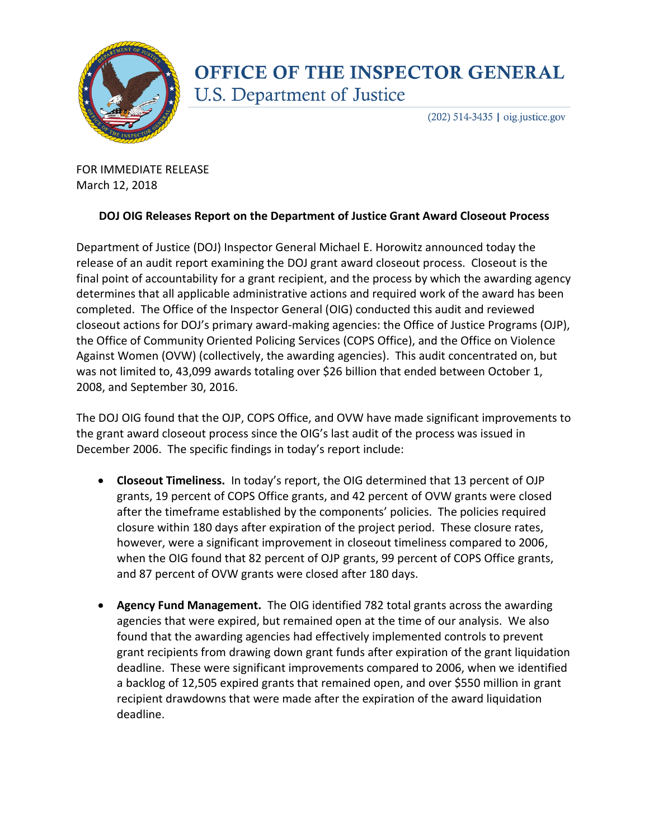

## **OFFICE OF THE INSPECTOR GENERAL** U.S. Department of Justice

 $(202)$  514-3435 | oig.justice.gov

FOR IMMEDIATE RELEASE March 12, 2018

## **DOJ OIG Releases Report on the Department of Justice Grant Award Closeout Process**

Department of Justice (DOJ) Inspector General Michael E. Horowitz announced today the release of an audit report examining the DOJ grant award closeout process. Closeout is the final point of accountability for a grant recipient, and the process by which the awarding agency determines that all applicable administrative actions and required work of the award has been completed. The Office of the Inspector General (OIG) conducted this audit and reviewed closeout actions for DOJ's primary award-making agencies: the Office of Justice Programs (OJP), the Office of Community Oriented Policing Services (COPS Office), and the Office on Violence Against Women (OVW) (collectively, the awarding agencies). This audit concentrated on, but was not limited to, 43,099 awards totaling over \$26 billion that ended between October 1, 2008, and September 30, 2016.

The DOJ OIG found that the OJP, COPS Office, and OVW have made significant improvements to the grant award closeout process since the OIG's last audit of the process was issued in December 2006. The specific findings in today's report include:

- **Closeout Timeliness.** In today's report, the OIG determined that 13 percent of OJP grants, 19 percent of COPS Office grants, and 42 percent of OVW grants were closed after the timeframe established by the components' policies. The policies required closure within 180 days after expiration of the project period. These closure rates, however, were a significant improvement in closeout timeliness compared to 2006, when the OIG found that 82 percent of OJP grants, 99 percent of COPS Office grants, and 87 percent of OVW grants were closed after 180 days.
- **Agency Fund Management.** The OIG identified 782 total grants across the awarding agencies that were expired, but remained open at the time of our analysis. We also found that the awarding agencies had effectively implemented controls to prevent grant recipients from drawing down grant funds after expiration of the grant liquidation deadline. These were significant improvements compared to 2006, when we identified a backlog of 12,505 expired grants that remained open, and over \$550 million in grant recipient drawdowns that were made after the expiration of the award liquidation deadline.